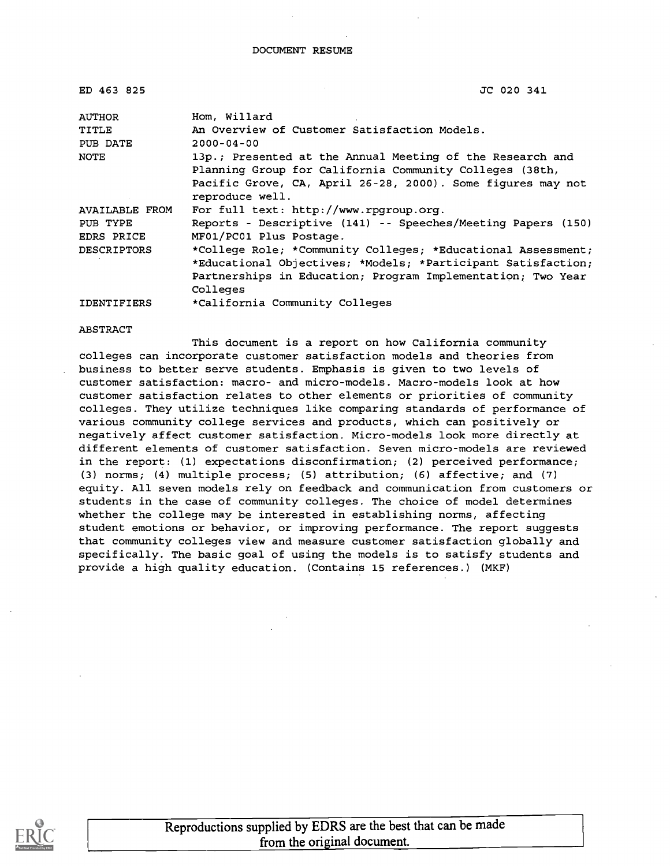| ED 463 825             | JC 020 341                                                                              |  |  |
|------------------------|-----------------------------------------------------------------------------------------|--|--|
| <b>AUTHOR</b>          | Hom, Willard                                                                            |  |  |
| <b>TITLE</b>           | An Overview of Customer Satisfaction Models.                                            |  |  |
| PUB DATE               | $2000 - 04 - 00$                                                                        |  |  |
| NOTE                   | 13p.; Presented at the Annual Meeting of the Research and                               |  |  |
|                        | Planning Group for California Community Colleges (38th,                                 |  |  |
|                        | Pacific Grove, CA, April 26-28, 2000). Some figures may not<br>reproduce well.          |  |  |
| AVAILABLE FROM         | For full text: http://www.rpgroup.org.                                                  |  |  |
| PUB TYPE<br>EDRS PRICE | Reports - Descriptive (141) -- Speeches/Meeting Papers (150)<br>MF01/PC01 Plus Postage. |  |  |
| <b>DESCRIPTORS</b>     | *College Role; *Community Colleges; *Educational Assessment;                            |  |  |
|                        | *Educational Objectives; *Models; *Participant Satisfaction;                            |  |  |
|                        | Partnerships in Education; Program Implementation; Two Year                             |  |  |
|                        | Colleges                                                                                |  |  |
| <b>IDENTIFIERS</b>     | *California Community Colleges                                                          |  |  |

#### ABSTRACT

This document is a report on how California community colleges can incorporate customer satisfaction models and theories from business to better serve students. Emphasis is given to two levels of customer satisfaction: macro- and micro-models. Macro-models look at how customer satisfaction relates to other elements or priorities of community colleges. They utilize techniques like comparing standards of performance of various community college services and products, which can positively or negatively affect customer satisfaction. Micro-models look more directly at different elements of customer satisfaction. Seven micro-models are reviewed in the report: (1) expectations disconfirmation; (2) perceived performance; (3) norms; (4) multiple process; (5) attribution; (6) affective; and (7) equity. All seven models rely on feedback and communication from customers or students in the case of community colleges. The choice of model determines whether the college may be interested in establishing norms, affecting student emotions or behavior, or improving performance. The report suggests that community colleges view and measure customer satisfaction globally and specifically. The basic goal of using the models is to satisfy students and provide a high quality education. (Contains 15 references.) (MKF)

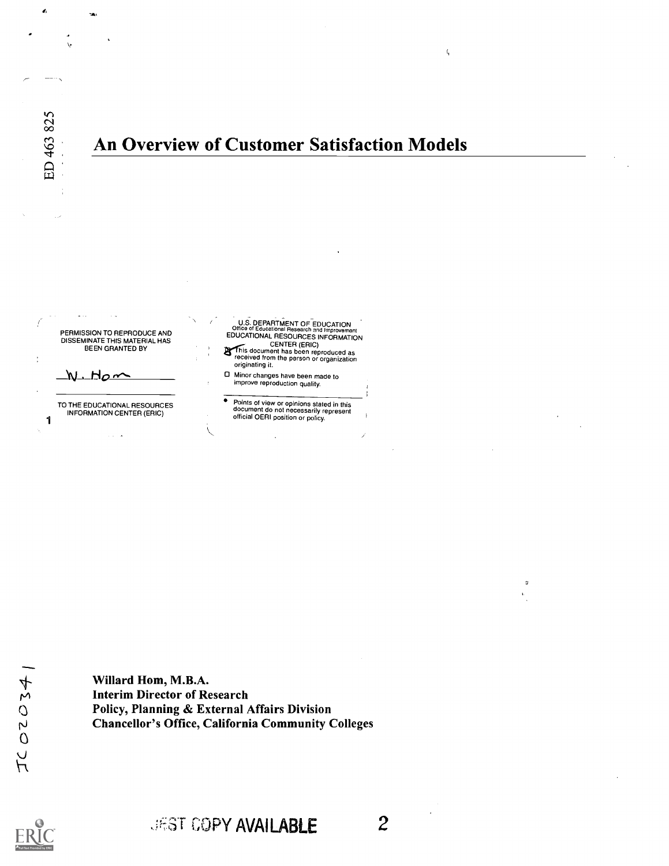$\tilde{\mathbf{c}}$  $\infty$  000  $\infty$  $\mathbb{C}$  . A  $\blacksquare$ 

 $\lambda$ 

1

 $\mathbf{v}$  . The set of  $\mathbf{v}$ 

## An Overview of Customer Satisfaction Models



TO THE EDUCATIONAL RESOURCES INFORMATION CENTER (ERIC)

U.S. DEPARTMENT OF EDUCATION<br>Office of Educational Research and Improvement<br>EDUCATIONAL RESOURCES INFORMATION

- CENTER (ERIC)<br>
Finis document has been reproduced as<br>
originating it.<br>
originating it.
- Minor changes have been made to improve reproduction quality.
- $\bullet$ Points of view or opinions stated in this document do not necessarily represent official OERI position or policy.

Willard Hom, M.B.A. Interim Director of Research Policy, Planning & External Affairs Division Chancellor's Office, California Community Colleges

 $\setminus$ 

# JEST COPY AVAILABLE 2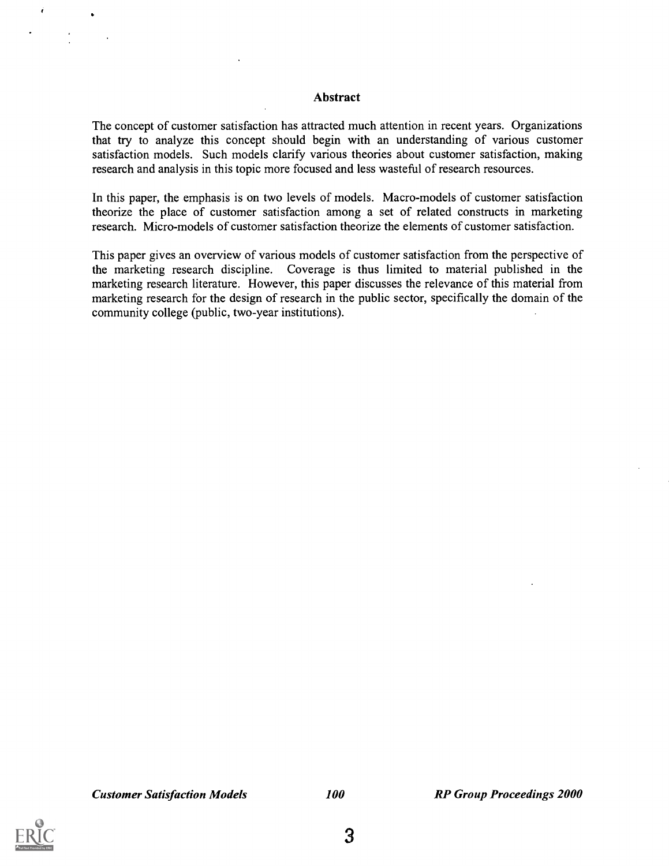#### Abstract

The concept of customer satisfaction has attracted much attention in recent years. Organizations that try to analyze this concept should begin with an understanding of various customer satisfaction models. Such models clarify various theories about customer satisfaction, making research and analysis in this topic more focused and less wasteful of research resources.

In this paper, the emphasis is on two levels of models. Macro-models of customer satisfaction theorize the place of customer satisfaction among a set of related constructs in marketing research. Micro-models of customer satisfaction theorize the elements of customer satisfaction.

This paper gives an overview of various models of customer satisfaction from the perspective of the marketing research discipline. Coverage is thus limited to material published in the marketing research literature. However, this paper discusses the relevance of this material from marketing research for the design of research in the public sector, specifically the domain of the community college (public, two-year institutions).

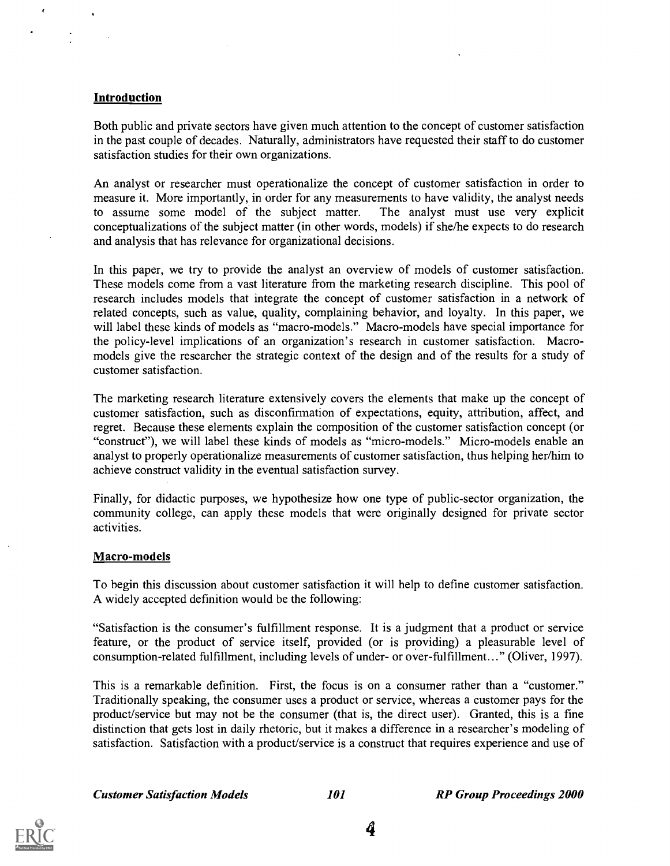#### Introduction

 $\epsilon$ 

Both public and private sectors have given much attention to the concept of customer satisfaction in the past couple of decades. Naturally, administrators have requested their staff to do customer satisfaction studies for their own organizations.

An analyst or researcher must operationalize the concept of customer satisfaction in order to measure it. More importantly, in order for any measurements to have validity, the analyst needs to assume some model of the subject matter. The analyst must use very explicit conceptualizations of the subject matter (in other words, models) if she/he expects to do research and analysis that has relevance for organizational decisions.

In this paper, we try to provide the analyst an overview of models of customer satisfaction. These models come from a vast literature from the marketing research discipline. This pool of research includes models that integrate the concept of customer satisfaction in a network of related concepts, such as value, quality, complaining behavior, and loyalty. In this paper, we will label these kinds of models as "macro-models." Macro-models have special importance for the policy-level implications of an organization's research in customer satisfaction. Macromodels give the researcher the strategic context of the design and of the results for a study of customer satisfaction.

The marketing research literature extensively covers the elements that make up the concept of customer satisfaction, such as disconfirmation of expectations, equity, attribution, affect, and regret. Because these elements explain the composition of the customer satisfaction concept (or "construct"), we will label these kinds of models as "micro-models." Micro-models enable an analyst to properly operationalize measurements of customer satisfaction, thus helping her/him to achieve construct validity in the eventual satisfaction survey.

Finally, for didactic purposes, we hypothesize how one type of public-sector organization, the community college, can apply these models that were originally designed for private sector activities.

#### Macro-models

To begin this discussion about customer satisfaction it will help to define customer satisfaction. A widely accepted definition would be the following:

"Satisfaction is the consumer's fulfillment response. It is a judgment that a product or service feature, or the product of service itself, provided (or is providing) a pleasurable level of consumption-related fulfillment, including levels of under- or over-fulfillment..." (Oliver, 1997).

This is a remarkable definition. First, the focus is on a consumer rather than a "customer." Traditionally speaking, the consumer uses a product or service, whereas a customer pays for the product/service but may not be the consumer (that is, the direct user). Granted, this is a fine distinction that gets lost in daily rhetoric, but it makes a difference in a researcher's modeling of satisfaction. Satisfaction with a product/service is a construct that requires experience and use of

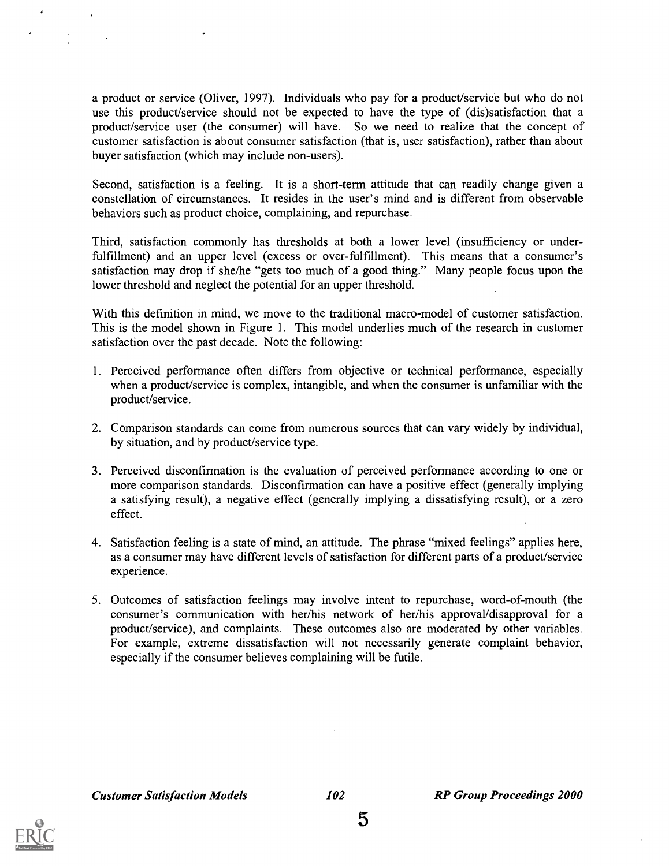a product or service (Oliver, 1997). Individuals who pay for a product/service but who do not use this product/service should not be expected to have the type of (dis)satisfaction that a product/service user (the consumer) will have. So we need to realize that the concept of customer satisfaction is about consumer satisfaction (that is, user satisfaction), rather than about buyer satisfaction (which may include non-users).

Second, satisfaction is a feeling. It is a short-term attitude that can readily change given a constellation of circumstances. It resides in the user's mind and is different from observable behaviors such as product choice, complaining, and repurchase.

Third, satisfaction commonly has thresholds at both a lower level (insufficiency or underfulfillment) and an upper level (excess or over-fulfillment). This means that a consumer's satisfaction may drop if she/he "gets too much of a good thing." Many people focus upon the lower threshold and neglect the potential for an upper threshold.

With this definition in mind, we move to the traditional macro-model of customer satisfaction. This is the model shown in Figure 1. This model underlies much of the research in customer satisfaction over the past decade. Note the following:

- 1. Perceived performance often differs from objective or technical performance, especially when a product/service is complex, intangible, and when the consumer is unfamiliar with the product/service.
- 2. Comparison standards can come from numerous sources that can vary widely by individual, by situation, and by product/service type.
- 3. Perceived disconfirmation is the evaluation of perceived performance according to one or more comparison standards. Disconfirmation can have a positive effect (generally implying a satisfying result), a negative effect (generally implying a dissatisfying result), or a zero effect.
- 4. Satisfaction feeling is a state of mind, an attitude. The phrase "mixed feelings" applies here, as a consumer may have different levels of satisfaction for different parts of a product/service experience.
- 5. Outcomes of satisfaction feelings may involve intent to repurchase, word-of-mouth (the consumer's communication with her/his network of her/his approval/disapproval for a product/service), and complaints. These outcomes also are moderated by other variables. For example, extreme dissatisfaction will not necessarily generate complaint behavior, especially if the consumer believes complaining will be futile.

**Customer Satisfaction Models** 102

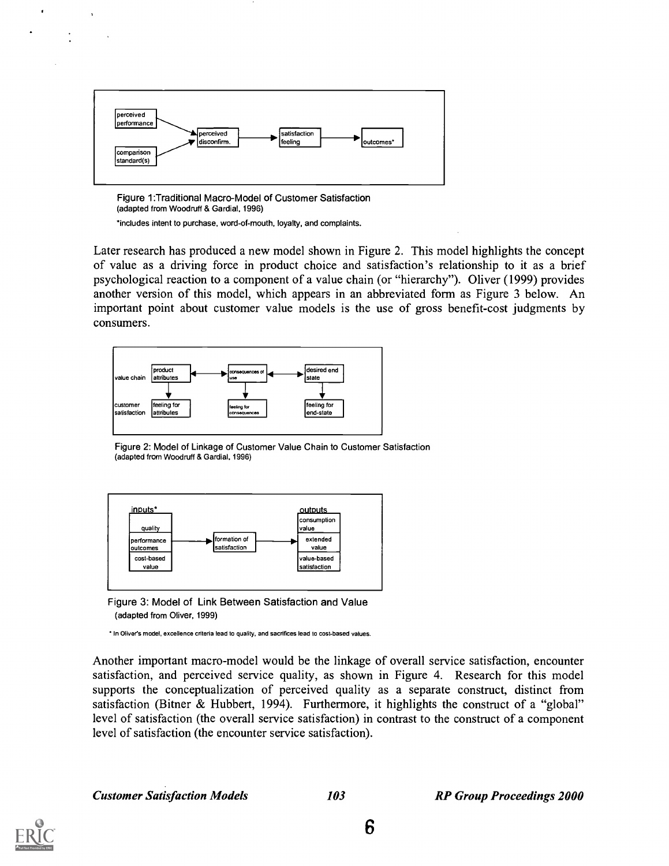

Figure 1:Traditional Macro-Model of Customer Satisfaction (adapted from Woodruff & Gardial, 1996) \*includes intent to purchase, word-of-mouth, loyalty, and complaints.

Later research has produced a new model shown in Figure 2. This model highlights the concept of value as a driving force in product choice and satisfaction's relationship to it as a brief psychological reaction to a component of a value chain (or "hierarchy"). Oliver (1999) provides another version of this model, which appears in an abbreviated form as Figure 3 below. An important point about customer value models is the use of gross benefit-cost judgments by consumers.



Figure 2: Model of Linkage of Customer Value Chain to Customer Satisfaction (adapted from Woodruff & Gardial, 1996)



Figure 3: Model of Link Between Satisfaction and Value (adapted from Oliver, 1999)

\* In Oliver's model, excellence criteria lead to quality, and sacrifices lead to cost-based values.

Another important macro-model would be the linkage of overall service satisfaction, encounter satisfaction, and perceived service quality, as shown in Figure 4. Research for this model supports the conceptualization of perceived quality as a separate construct, distinct from satisfaction (Bitner & Hubbert, 1994). Furthermore, it highlights the construct of a "global" level of satisfaction (the overall service satisfaction) in contrast to the construct of a component level of satisfaction (the encounter service satisfaction).

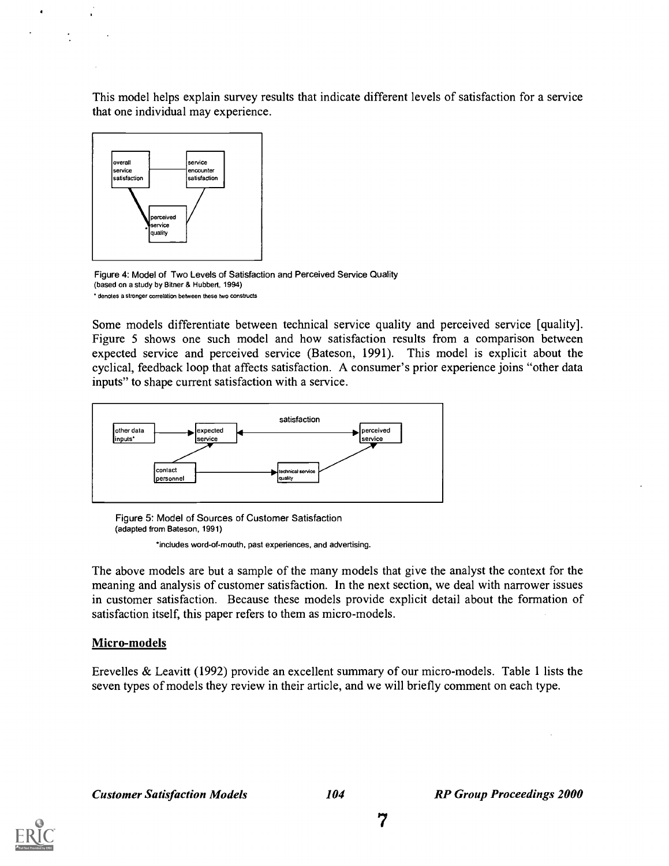This model helps explain survey results that indicate different levels of satisfaction for a service that one individual may experience.



Figure 4: Model of Two Levels of Satisfaction and Perceived Service Quality (based on a study by Bitner & Hubbert, 1994) denotes a stronger correlation between these two constructs

Some models differentiate between technical service quality and perceived service [quality]. Figure 5 shows one such model and how satisfaction results from a comparison between expected service and perceived service (Bateson, 1991). This model is explicit about the cyclical, feedback loop that affects satisfaction. A consumer's prior experience joins "other data inputs" to shape current satisfaction with a service.



Figure 5: Model of Sources of Customer Satisfaction (adapted from Bateson, 1991)

\*includes word-of-mouth, past experiences, and advertising.

The above models are but a sample of the many models that give the analyst the context for the meaning and analysis of customer satisfaction. In the next section, we deal with narrower issues in customer satisfaction. Because these models provide explicit detail about the formation of satisfaction itself, this paper refers to them as micro-models.

#### Micro-models

Erevelles & Leavitt (1992) provide an excellent summary of our micro-models. Table 1 lists the seven types of models they review in their article, and we will briefly comment on each type.

Customer Satisfaction Models 104 RP Group Proceedings 2000

 $\overline{7}$ 

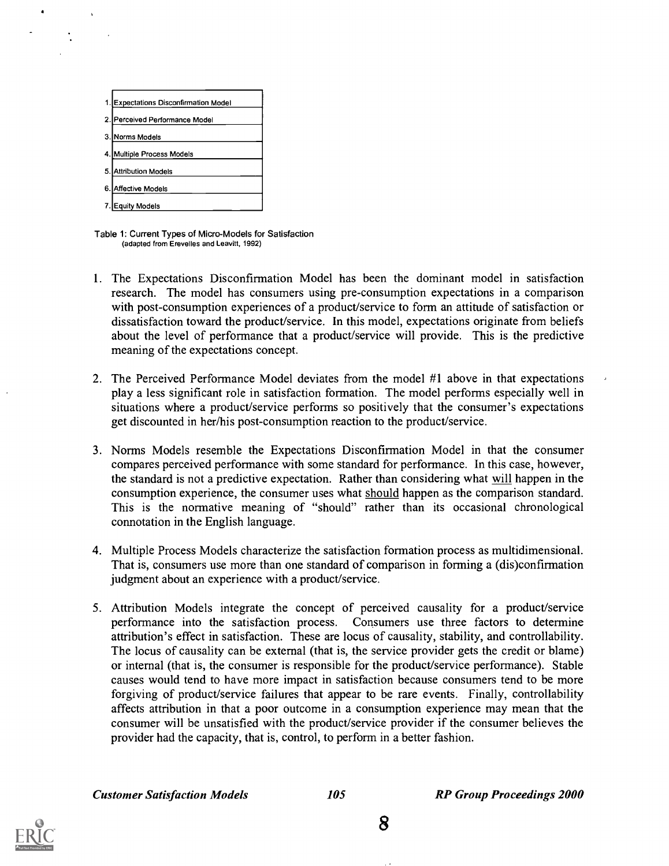| 1. Expectations Disconfirmation Model |
|---------------------------------------|
| 2. Perceived Performance Model        |
| 3. Norms Models                       |
| 4. Multiple Process Models            |
| 5. Attribution Models                 |
| 6. Affective Models                   |
| Equity Models                         |

Table 1: Current Types of Micro-Models for Satisfaction (adapted from Erevelles and Leavitt, 1992)

- 1. The Expectations Disconfirmation Model has been the dominant model in satisfaction research. The model has consumers using pre-consumption expectations in a comparison with post-consumption experiences of a product/service to form an attitude of satisfaction or dissatisfaction toward the product/service. In this model, expectations originate from beliefs about the level of performance that a product/service will provide. This is the predictive meaning of the expectations concept.
- 2. The Perceived Performance Model deviates from the model #1 above in that expectations play a less significant role in satisfaction formation. The model performs especially well in situations where a product/service performs so positively that the consumer's expectations get discounted in her/his post-consumption reaction to the product/service.
- 3. Norms Models resemble the Expectations Disconfirmation Model in that the consumer compares perceived performance with some standard for performance. In this case, however, the standard is not a predictive expectation. Rather than considering what will happen in the consumption experience, the consumer uses what should happen as the comparison standard. This is the normative meaning of "should" rather than its occasional chronological connotation in the English language.
- 4. Multiple Process Models characterize the satisfaction formation process as multidimensional. That is, consumers use more than one standard of comparison in forming a (dis)confirmation judgment about an experience with a product/service.
- 5. Attribution Models integrate the concept of perceived causality for a product/service performance into the satisfaction process. Consumers use three factors to determine attribution's effect in satisfaction. These are locus of causality, stability, and controllability. The locus of causality can be external (that is, the service provider gets the credit or blame) or internal (that is, the consumer is responsible for the product/service performance). Stable causes would tend to have more impact in satisfaction because consumers tend to be more forgiving of product/service failures that appear to be rare events. Finally, controllability affects attribution in that a poor outcome in a consumption experience may mean that the consumer will be unsatisfied with the product/service provider if the consumer believes the provider had the capacity, that is, control, to perform in a better fashion.

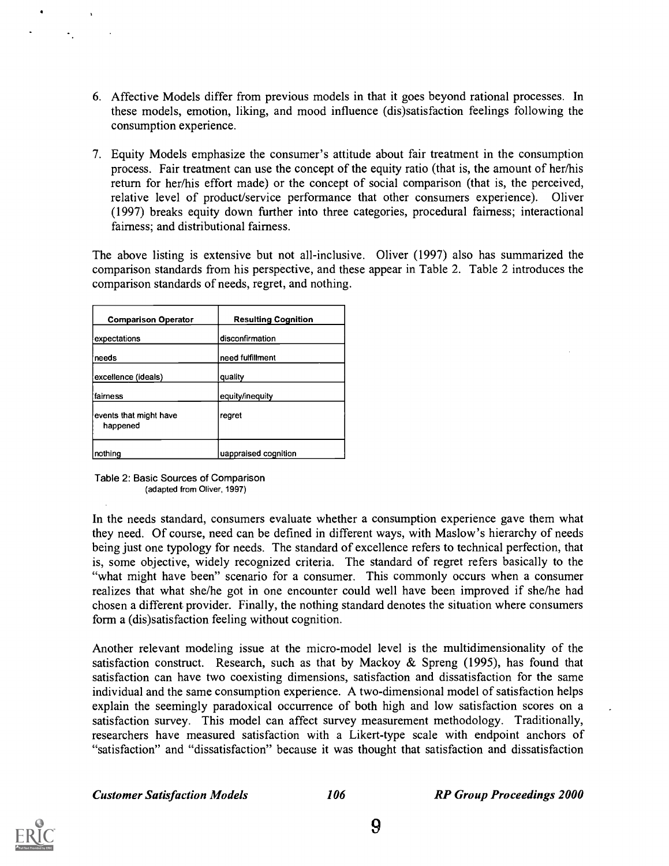- 6. Affective Models differ from previous models in that it goes beyond rational processes. In these models, emotion, liking, and mood influence (dis)satisfaction feelings following the consumption experience.
- 7. Equity Models emphasize the consumer's attitude about fair treatment in the consumption process. Fair treatment can use the concept of the equity ratio (that is, the amount of her/his return for her/his effort made) or the concept of social comparison (that is, the perceived, relative level of product/service performance that other consumers experience). Oliver (1997) breaks equity down further into three categories, procedural fairness; interactional fairness; and distributional fairness.

The above listing is extensive but not all-inclusive. Oliver (1997) also has summarized the comparison standards from his perspective, and these appear in Table 2. Table 2 introduces the comparison standards of needs, regret, and nothing.

| <b>Comparison Operator</b>         | <b>Resulting Cognition</b> |
|------------------------------------|----------------------------|
| expectations                       | disconfirmation            |
| needs                              | need fulfillment           |
| excellence (ideals)                | quality                    |
| lfairness                          | equity/inequity            |
| events that might have<br>happened | regret                     |
| nothing                            | uappraised cognition       |

Table 2: Basic Sources of Comparison (adapted from Oliver, 1997)

In the needs standard, consumers evaluate whether a consumption experience gave them what they need. Of course, need can be defined in different ways, with Maslow's hierarchy of needs being just one typology for needs. The standard of excellence refers to technical perfection, that is, some objective, widely recognized criteria. The standard of regret refers basically to the "what might have been" scenario for a consumer. This commonly occurs when a consumer realizes that what she/he got in one encounter could well have been improved if she/he had chosen a different provider. Finally, the nothing standard denotes the situation where consumers form a (dis)satisfaction feeling without cognition.

Another relevant modeling issue at the micro-model level is the multidimensionality of the satisfaction construct. Research, such as that by Mackoy & Spreng (1995), has found that satisfaction can have two coexisting dimensions, satisfaction and dissatisfaction for the same individual and the same consumption experience. A two-dimensional model of satisfaction helps explain the seemingly paradoxical occurrence of both high and low satisfaction scores on a satisfaction survey. This model can affect survey measurement methodology. Traditionally, researchers have measured satisfaction with a Likert-type scale with endpoint anchors of "satisfaction" and "dissatisfaction" because it was thought that satisfaction and dissatisfaction

Customer Satisfaction Models 106 RP Group Proceedings 2000

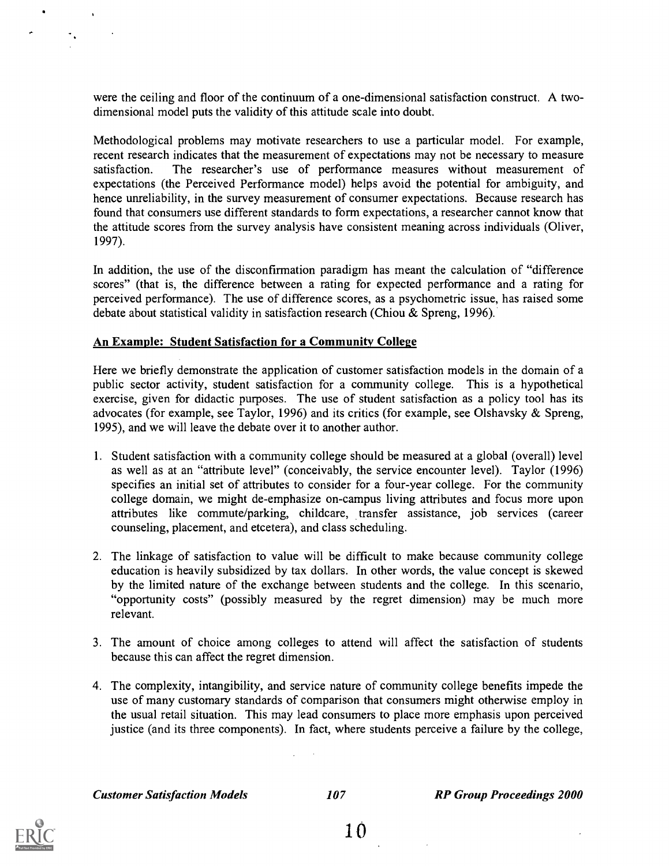were the ceiling and floor of the continuum of a one-dimensional satisfaction construct. A twodimensional model puts the validity of this attitude scale into doubt.

Methodological problems may motivate researchers to use a particular model. For example, recent research indicates that the measurement of expectations may not be necessary to measure satisfaction. The researcher's use of performance measures without measurement of expectations (the Perceived Performance model) helps avoid the potential for ambiguity, and hence unreliability, in the survey measurement of consumer expectations. Because research has found that consumers use different standards to form expectations, a researcher cannot know that the attitude scores from the survey analysis have consistent meaning across individuals (Oliver, 1997).

In addition, the use of the disconfirmation paradigm has meant the calculation of "difference scores" (that is, the difference between a rating for expected performance and a rating for perceived performance). The use of difference scores, as a psychometric issue, has raised some debate about statistical validity in satisfaction research (Chiou & Spreng, 1996).

#### An Example: Student Satisfaction for a Community College

Here we briefly demonstrate the application of customer satisfaction models in the domain of a public sector activity, student satisfaction for a community college. This is a hypothetical exercise, given for didactic purposes. The use of student satisfaction as a policy tool has its advocates (for example, see Taylor, 1996) and its critics (for example, see Olshavsky & Spreng, 1995), and we will leave the debate over it to another author.

- 1. Student satisfaction with a community college should be measured at a global (overall) level as well as at an "attribute level" (conceivably, the service encounter level). Taylor (1996) specifies an initial set of attributes to consider for a four-year college. For the community college domain, we might de-emphasize on-campus living attributes and focus more upon attributes like commute/parking, childcare, transfer assistance, job services (career counseling, placement, and etcetera), and class scheduling.
- 2. The linkage of satisfaction to value will be difficult to make because community college education is heavily subsidized by tax dollars. In other words, the value concept is skewed by the limited nature of the exchange between students and the college. In this scenario, "opportunity costs" (possibly measured by the regret dimension) may be much more relevant.
- 3. The amount of choice among colleges to attend will affect the satisfaction of students because this can affect the regret dimension.
- 4. The complexity, intangibility, and service nature of community college benefits impede the use of many customary standards of comparison that consumers might otherwise employ in the usual retail situation. This may lead consumers to place more emphasis upon perceived justice (and its three components). In fact, where students perceive a failure by the college,

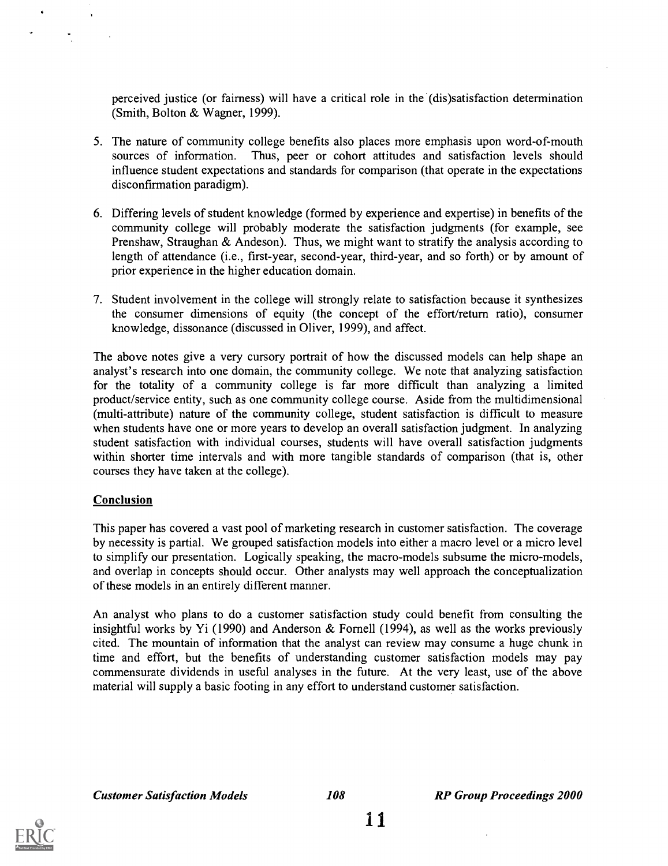perceived justice (or fairness) will have a critical role in the (dis)satisfaction determination (Smith, Bolton & Wagner, 1999).

- 5. The nature of community college benefits also places more emphasis upon word-of-mouth sources of information. Thus, peer or cohort attitudes and satisfaction levels should influence student expectations and standards for comparison (that operate in the expectations disconfirmation paradigm).
- 6. Differing levels of student knowledge (formed by experience and expertise) in benefits of the community college will probably moderate the satisfaction judgments (for example, see Prenshaw, Straughan & Andeson). Thus, we might want to stratify the analysis according to length of attendance (i.e., first-year, second-year, third-year, and so forth) or by amount of prior experience in the higher education domain.
- 7. Student involvement in the college will strongly relate to satisfaction because it synthesizes the consumer dimensions of equity (the concept of the effort/return ratio), consumer knowledge, dissonance (discussed in Oliver, 1999), and affect.

The above notes give a very cursory portrait of how the discussed models can help shape an analyst's research into one domain, the community college. We note that analyzing satisfaction for the totality of a community college is far more difficult than analyzing a limited product/service entity, such as one community college course. Aside from the multidimensional (multi-attribute) nature of the community college, student satisfaction is difficult to measure when students have one or more years to develop an overall satisfaction judgment. In analyzing student satisfaction with individual courses, students will have overall satisfaction judgments within shorter time intervals and with more tangible standards of comparison (that is, other courses they have taken at the college).

#### **Conclusion**

This paper has covered a vast pool of marketing research in customer satisfaction. The coverage by necessity is partial. We grouped satisfaction models into either a macro level or a micro level to simplify our presentation. Logically speaking, the macro-models subsume the micro-models, and overlap in concepts should occur. Other analysts may well approach the conceptualization of these models in an entirely different manner.

An analyst who plans to do a customer satisfaction study could benefit from consulting the insightful works by Yi (1990) and Anderson & Fornell (1994), as well as the works previously cited. The mountain of information that the analyst can review may consume a huge chunk in time and effort, but the benefits of understanding customer satisfaction models may pay commensurate dividends in useful analyses in the future. At the very least, use of the above material will supply a basic footing in any effort to understand customer satisfaction.

Customer Satisfaction Models 108 RP Group Proceedings 2000

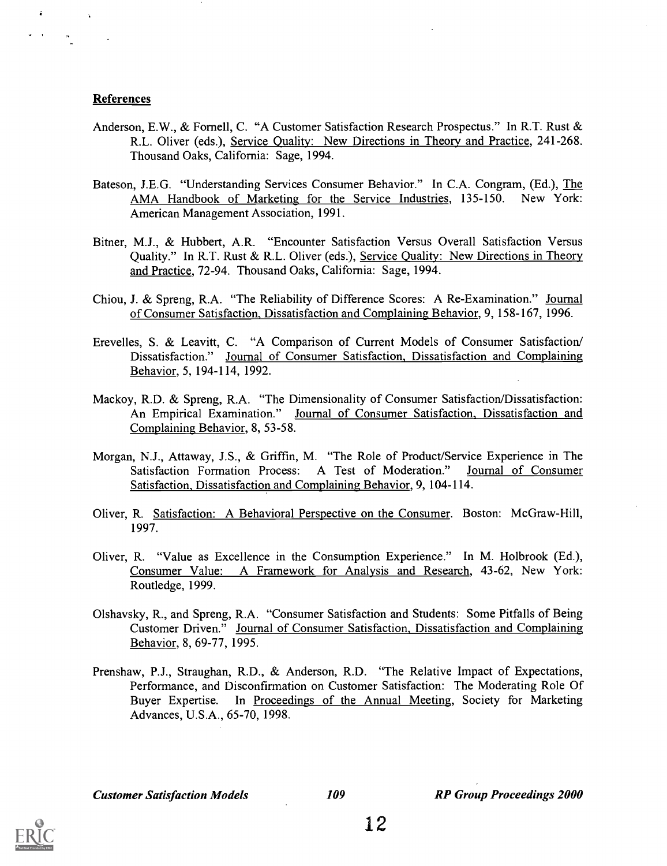#### References

 $\Delta$ 

- Anderson, E.W., & Fornell, C. "A Customer Satisfaction Research Prospectus." In R.T. Rust & R.L. Oliver (eds.), Service Quality: New Directions in Theory and Practice, 241-268. Thousand Oaks, California: Sage, 1994.
- Bateson, J.E.G. "Understanding Services Consumer Behavior." In C.A. Congram, (Ed.), The AMA Handbook of Marketing for the Service Industries, 135-150. New York: American Management Association, 1991.
- Bitner, M.J., & Hubbert, A.R. "Encounter Satisfaction Versus Overall Satisfaction Versus Quality." In R.T. Rust & R.L. Oliver (eds.), Service Quality: New Directions in Theory and Practice, 72-94. Thousand Oaks, California: Sage, 1994.
- Chiou, J. & Spreng, R.A. "The Reliability of Difference Scores: A Re-Examination." Journal of Consumer Satisfaction, Dissatisfaction and Complaining Behavior, 9, 158-167, 1996.
- Erevelles, S. & Leavitt, C. "A Comparison of Current Models of Consumer Satisfaction/ Dissatisfaction." Journal of Consumer Satisfaction, Dissatisfaction and Complaining Behavior, 5, 194-114, 1992.
- Mackoy, R.D. & Spreng, R.A. "The Dimensionality of Consumer Satisfaction/Dissatisfaction: An Empirical Examination." Journal of Consumer Satisfaction, Dissatisfaction and Complaining Behavior, 8, 53-58.
- Morgan, N.J., Attaway, J.S., & Griffin, M. "The Role of Product/Service Experience in The Satisfaction Formation Process: A Test of Moderation." Journal of Consumer Satisfaction, Dissatisfaction and Complaining Behavior, 9, 104-114.
- Oliver, R. Satisfaction: A Behavioral Perspective on the Consumer. Boston: McGraw-Hill, 1997.
- Oliver, R. "Value as Excellence in the Consumption Experience." In M. Holbrook (Ed.), Consumer Value: A Framework for Analysis and Research, 43-62, New York: Routledge, 1999.
- Olshavsky, R., and Spreng, R.A. "Consumer Satisfaction and Students: Some Pitfalls of Being Customer Driven." Journal of Consumer Satisfaction, Dissatisfaction and Complaining Behavior, 8, 69-77, 1995.
- Prenshaw, P.J., Straughan, R.D., & Anderson, R.D. "The Relative Impact of Expectations, Performance, and Disconfirmation on Customer Satisfaction: The Moderating Role Of Buyer Expertise. In Proceedings of the Annual Meeting, Society for Marketing Advances, U.S.A., 65-70, 1998.

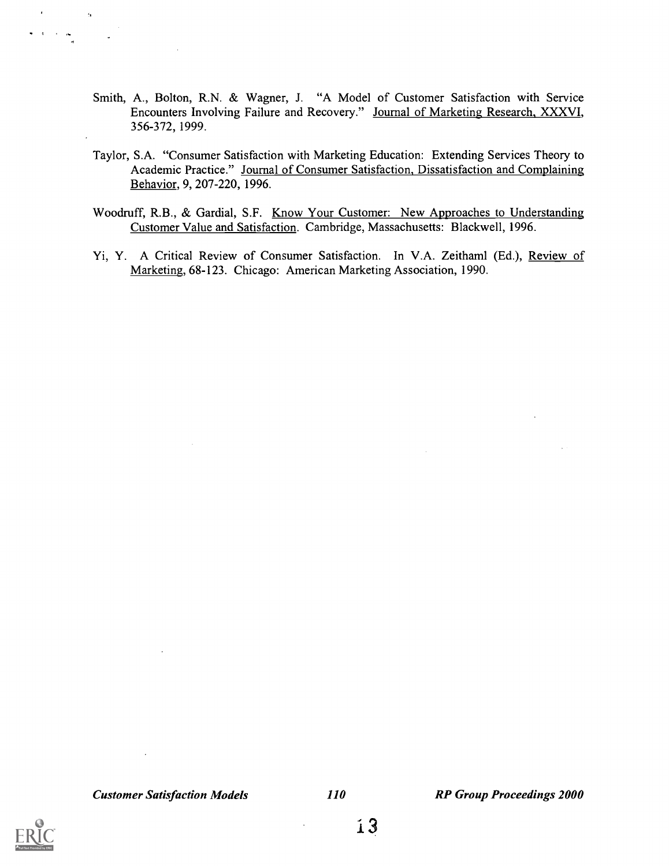- Smith, A., Bolton, R.N. & Wagner, J. "A Model of Customer Satisfaction with Service Encounters Involving Failure and Recovery." Journal of Marketing Research, XXXVI, 356-372, 1999.
- Taylor, S.A. "Consumer Satisfaction with Marketing Education: Extending Services Theory to Academic Practice." Journal of Consumer Satisfaction, Dissatisfaction and Complaining Behavior, 9, 207-220, 1996.
- Woodruff, R.B., & Gardial, S.F. Know Your Customer: New Approaches to Understanding Customer Value and Satisfaction. Cambridge, Massachusetts: Blackwell, 1996.
- Yi, Y. A Critical Review of Consumer Satisfaction. In V.A. Zeithaml (Ed.), Review of Marketing, 68-123. Chicago: American Marketing Association, 1990.

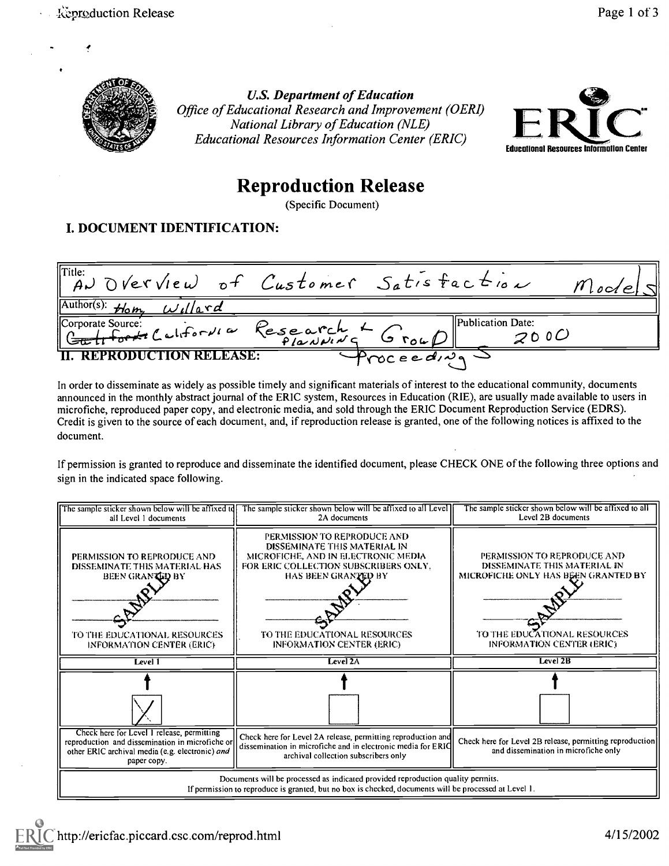

U.S. Department of Education Office of Educational Research and Improvement (0ERI) National Library of Education (NLE) Educational Resources Information Center (ERIC)



## Reproduction Release

(Specific Document)

### I. DOCUMENT IDENTIFICATION:

 $Title:$ <br>A)  $D VerVleu)$  of Customer Setisfactions  $\widetilde{\mu}$  $\rightarrow$   $\Im$  verview of Customer Satis  $\overline{\text{Author(s)}}$ :  $\overline{\text{#bm}}$   $\overline{\text{wil}}$   $\overline{\text{d}}$ Corporate Source: California Research + Group Publication Date:<br>C<del>a, li fort</del> California Research + Group Publication Date: II. REPRODUCTION RELEASE:  $\sqrt{p_{\text{roc} e e d_v q}}$ 

In order to disseminate as widely as possible timely and significant materials of interest to the educational community, documents announced in the monthly abstract journal of the ERIC system, Resources in Education (RIE), are usually made available to users in microfiche, reproduced paper copy, and electronic media, and sold through the ERIC Document Reproduction Service (EDRS). Credit is given to the source of each document, and, if reproduction release is granted, one of the following notices is affixed to the document.

If permission is granted to reproduce and disseminate the identified document, please CHECK ONE of the following three options and sign in the indicated space following.